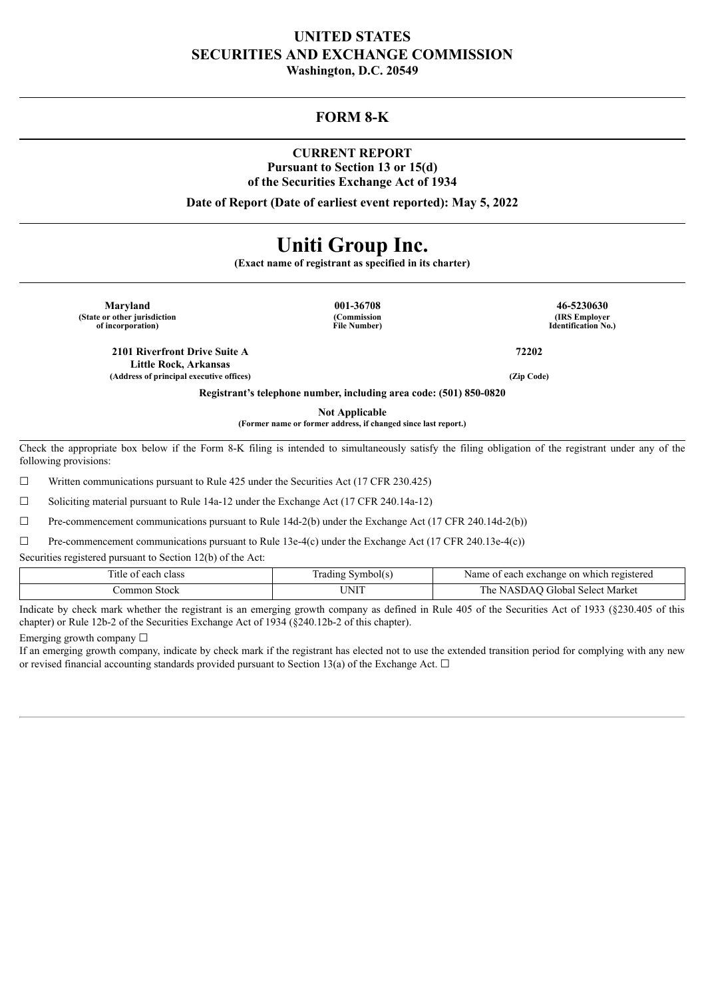# **UNITED STATES SECURITIES AND EXCHANGE COMMISSION**

**Washington, D.C. 20549**

# **FORM 8-K**

# **CURRENT REPORT Pursuant to Section 13 or 15(d) of the Securities Exchange Act of 1934**

**Date of Report (Date of earliest event reported): May 5, 2022**

# **Uniti Group Inc.**

**(Exact name of registrant as specified in its charter)**

|        | Maryland<br>(State or other jurisdiction<br>of incorporation)                                                                                                                     | 001-36708<br>(Commission<br><b>File Number)</b>                                         | 46-5230630<br>(IRS Employer)<br><b>Identification No.)</b> |
|--------|-----------------------------------------------------------------------------------------------------------------------------------------------------------------------------------|-----------------------------------------------------------------------------------------|------------------------------------------------------------|
|        | 2101 Riverfront Drive Suite A                                                                                                                                                     |                                                                                         | 72202                                                      |
|        | Little Rock, Arkansas<br>(Address of principal executive offices)                                                                                                                 |                                                                                         | (Zip Code)                                                 |
|        |                                                                                                                                                                                   | Registrant's telephone number, including area code: (501) 850-0820                      |                                                            |
|        |                                                                                                                                                                                   | <b>Not Applicable</b><br>(Former name or former address, if changed since last report.) |                                                            |
|        | Check the appropriate box below if the Form 8-K filing is intended to simultaneously satisfy the filing obligation of the registrant under any of the<br>following provisions:    |                                                                                         |                                                            |
| $\Box$ | Written communications pursuant to Rule 425 under the Securities Act (17 CFR 230.425)                                                                                             |                                                                                         |                                                            |
| $\Box$ | Soliciting material pursuant to Rule 14a-12 under the Exchange Act (17 CFR 240.14a-12)                                                                                            |                                                                                         |                                                            |
| $\Box$ | Pre-commencement communications pursuant to Rule 14d-2(b) under the Exchange Act (17 CFR 240.14d-2(b))                                                                            |                                                                                         |                                                            |
| $\Box$ | Pre-commencement communications pursuant to Rule 13e-4(c) under the Exchange Act $(17 \text{ CFR } 240.13e$ -4(c))<br>Securities registered pursuant to Section 12(b) of the Act: |                                                                                         |                                                            |

Title of each class Trading Symbol(s) Name of each exchange on which registered Common Stock UNIT The NASDAQ Global Select Market

Indicate by check mark whether the registrant is an emerging growth company as defined in Rule 405 of the Securities Act of 1933 (§230.405 of this chapter) or Rule 12b-2 of the Securities Exchange Act of 1934 (§240.12b-2 of this chapter).

Emerging growth company ☐

If an emerging growth company, indicate by check mark if the registrant has elected not to use the extended transition period for complying with any new or revised financial accounting standards provided pursuant to Section 13(a) of the Exchange Act.  $\Box$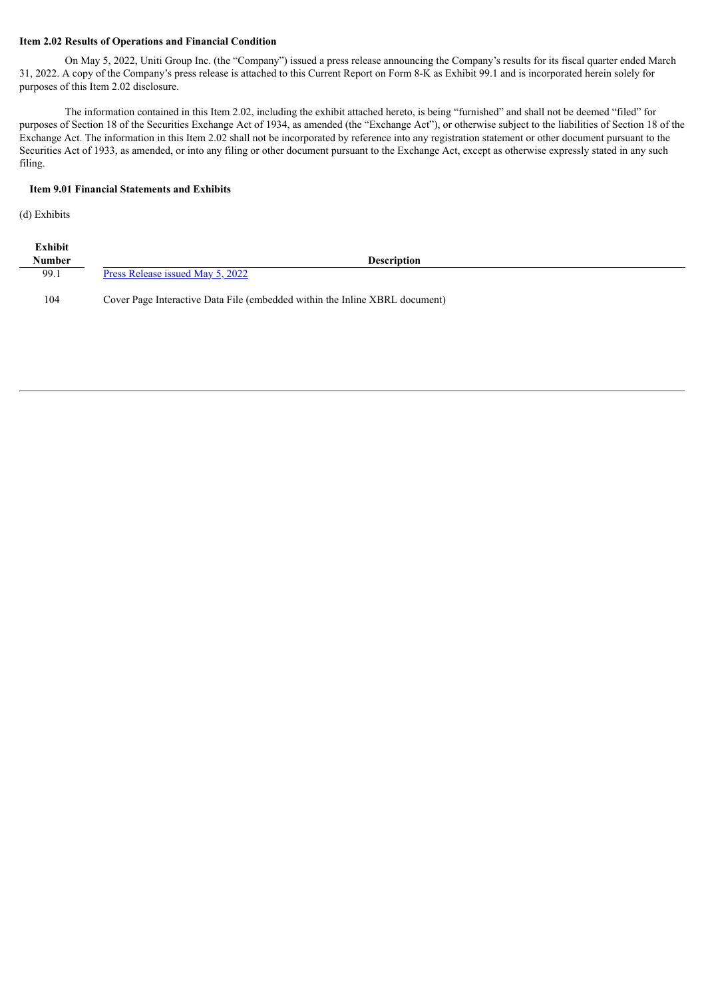### **Item 2.02 Results of Operations and Financial Condition**

On May 5, 2022, Uniti Group Inc. (the "Company") issued a press release announcing the Company's results for its fiscal quarter ended March 31, 2022. A copy of the Company's press release is attached to this Current Report on Form 8-K as Exhibit 99.1 and is incorporated herein solely for purposes of this Item 2.02 disclosure.

The information contained in this Item 2.02, including the exhibit attached hereto, is being "furnished" and shall not be deemed "filed" for purposes of Section 18 of the Securities Exchange Act of 1934, as amended (the "Exchange Act"), or otherwise subject to the liabilities of Section 18 of the Exchange Act. The information in this Item 2.02 shall not be incorporated by reference into any registration statement or other document pursuant to the Securities Act of 1933, as amended, or into any filing or other document pursuant to the Exchange Act, except as otherwise expressly stated in any such filing.

#### **Item 9.01 Financial Statements and Exhibits**

(d) Exhibits

| Exhibit<br><b>Number</b> | <b>Description</b>                                                          |  |
|--------------------------|-----------------------------------------------------------------------------|--|
| 99.1                     | <u>Press Release issued May 5, 2022</u>                                     |  |
| 104                      | Cover Page Interactive Data File (embedded within the Inline XBRL document) |  |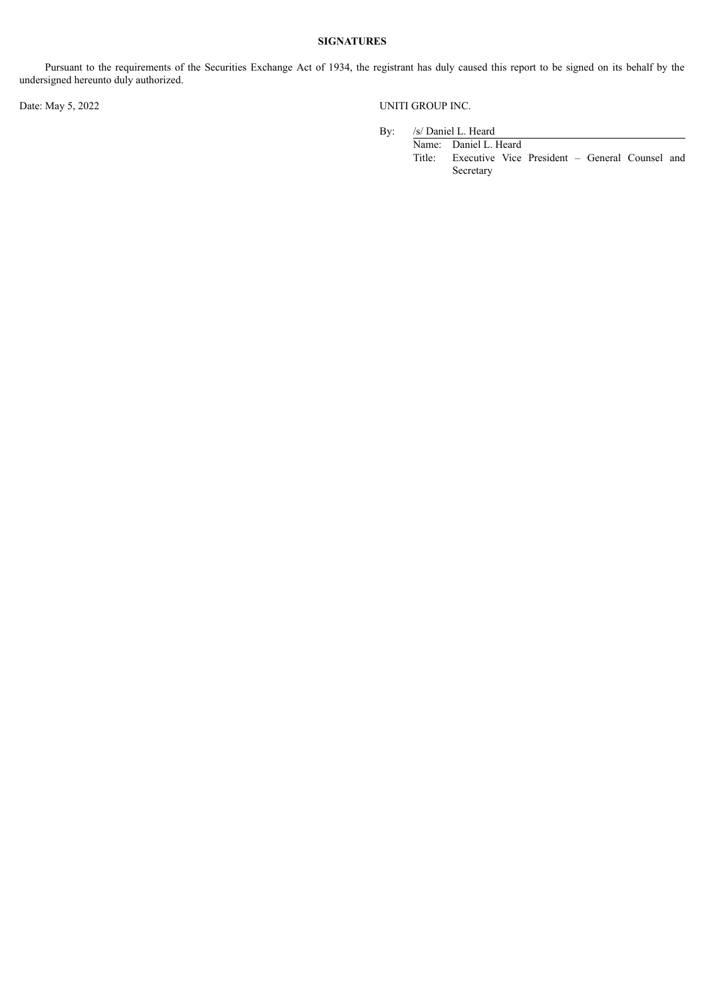#### **SIGNATURES**

Pursuant to the requirements of the Securities Exchange Act of 1934, the registrant has duly caused this report to be signed on its behalf by the undersigned hereunto duly authorized.

Date: May 5, 2022 UNITI GROUP INC.

By: /s/ Daniel L. Heard

Name: Daniel L. Heard<br>Title: Executive Vice Executive Vice President - General Counsel and Secretary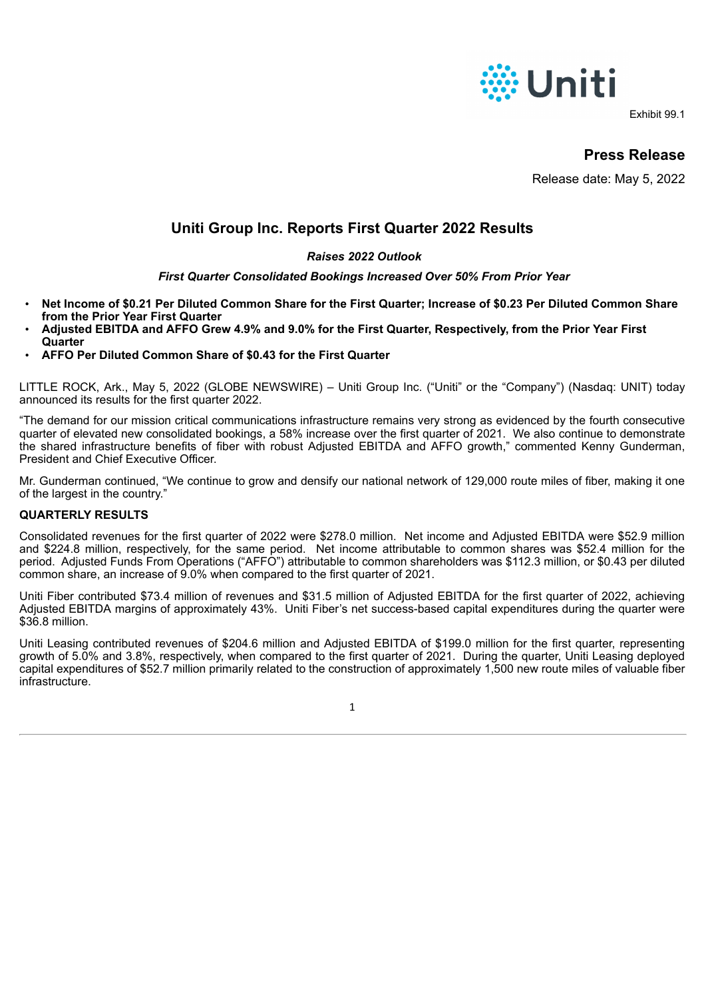

Exhibit 99.1

**Press Release**

Release date: May 5, 2022

# <span id="page-3-0"></span>**Uniti Group Inc. Reports First Quarter 2022 Results**

# *Raises 2022 Outlook*

# *First Quarter Consolidated Bookings Increased Over 50% From Prior Year*

- Net Income of \$0.21 Per Diluted Common Share for the First Quarter; Increase of \$0.23 Per Diluted Common Share **from the Prior Year First Quarter**
- Adjusted EBITDA and AFFO Grew 4.9% and 9.0% for the First Quarter, Respectively, from the Prior Year First **Quarter**
- **AFFO Per Diluted Common Share of \$0.43 for the First Quarter**

LITTLE ROCK, Ark., May 5, 2022 (GLOBE NEWSWIRE) – Uniti Group Inc. ("Uniti" or the "Company") (Nasdaq: UNIT) today announced its results for the first quarter 2022.

"The demand for our mission critical communications infrastructure remains very strong as evidenced by the fourth consecutive quarter of elevated new consolidated bookings, a 58% increase over the first quarter of 2021. We also continue to demonstrate the shared infrastructure benefits of fiber with robust Adjusted EBITDA and AFFO growth," commented Kenny Gunderman, President and Chief Executive Officer.

Mr. Gunderman continued, "We continue to grow and densify our national network of 129,000 route miles of fiber, making it one of the largest in the country."

### **QUARTERLY RESULTS**

Consolidated revenues for the first quarter of 2022 were \$278.0 million. Net income and Adjusted EBITDA were \$52.9 million and \$224.8 million, respectively, for the same period. Net income attributable to common shares was \$52.4 million for the period. Adjusted Funds From Operations ("AFFO") attributable to common shareholders was \$112.3 million, or \$0.43 per diluted common share, an increase of 9.0% when compared to the first quarter of 2021.

Uniti Fiber contributed \$73.4 million of revenues and \$31.5 million of Adjusted EBITDA for the first quarter of 2022, achieving Adjusted EBITDA margins of approximately 43%. Uniti Fiber's net success-based capital expenditures during the quarter were \$36.8 million.

Uniti Leasing contributed revenues of \$204.6 million and Adjusted EBITDA of \$199.0 million for the first quarter, representing growth of 5.0% and 3.8%, respectively, when compared to the first quarter of 2021. During the quarter, Uniti Leasing deployed capital expenditures of \$52.7 million primarily related to the construction of approximately 1,500 new route miles of valuable fiber infrastructure.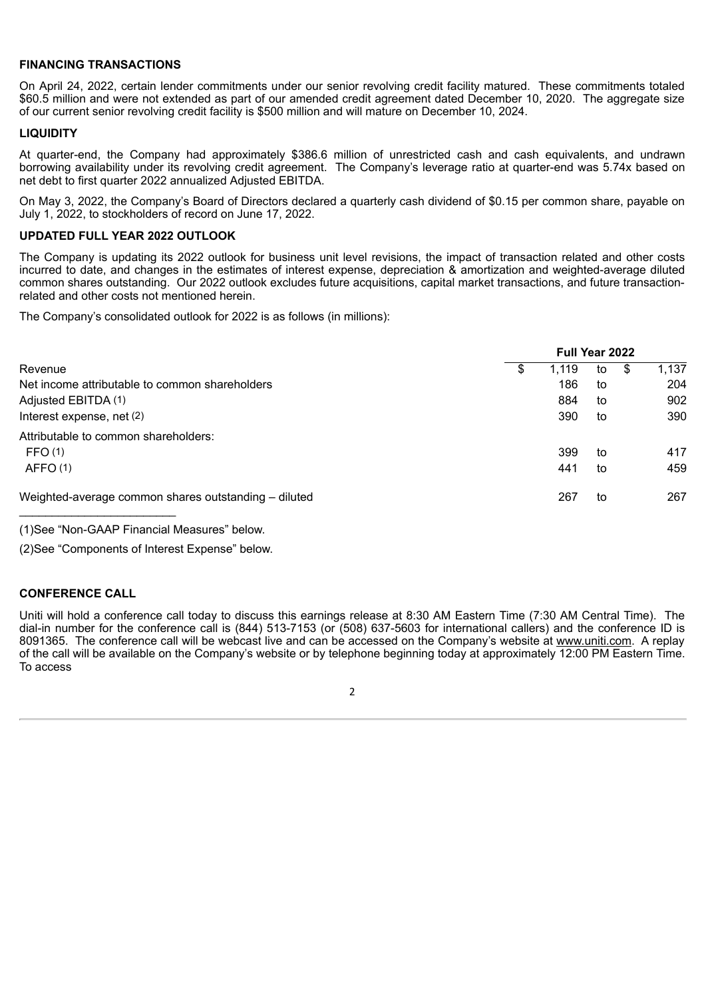# **FINANCING TRANSACTIONS**

On April 24, 2022, certain lender commitments under our senior revolving credit facility matured. These commitments totaled \$60.5 million and were not extended as part of our amended credit agreement dated December 10, 2020. The aggregate size of our current senior revolving credit facility is \$500 million and will mature on December 10, 2024.

# **LIQUIDITY**

At quarter-end, the Company had approximately \$386.6 million of unrestricted cash and cash equivalents, and undrawn borrowing availability under its revolving credit agreement. The Company's leverage ratio at quarter-end was 5.74x based on net debt to first quarter 2022 annualized Adjusted EBITDA.

On May 3, 2022, the Company's Board of Directors declared a quarterly cash dividend of \$0.15 per common share, payable on July 1, 2022, to stockholders of record on June 17, 2022.

# **UPDATED FULL YEAR 2022 OUTLOOK**

The Company is updating its 2022 outlook for business unit level revisions, the impact of transaction related and other costs incurred to date, and changes in the estimates of interest expense, depreciation & amortization and weighted-average diluted common shares outstanding. Our 2022 outlook excludes future acquisitions, capital market transactions, and future transactionrelated and other costs not mentioned herein.

The Company's consolidated outlook for 2022 is as follows (in millions):

|                                                      |   | <b>Full Year 2022</b> |    |    |       |  |
|------------------------------------------------------|---|-----------------------|----|----|-------|--|
| Revenue                                              | S | 1.119                 | to | \$ | 1,137 |  |
| Net income attributable to common shareholders       |   | 186                   | to |    | 204   |  |
| Adjusted EBITDA (1)                                  |   | 884                   | to |    | 902   |  |
| Interest expense, net (2)                            |   | 390                   | to |    | 390   |  |
| Attributable to common shareholders:                 |   |                       |    |    |       |  |
| FFO(1)                                               |   | 399                   | to |    | 417   |  |
| AFFO(1)                                              |   | 441                   | to |    | 459   |  |
| Weighted-average common shares outstanding – diluted |   | 267                   | to |    | 267   |  |

(1)See "Non-GAAP Financial Measures" below.

(2)See "Components of Interest Expense" below.

# **CONFERENCE CALL**

Uniti will hold a conference call today to discuss this earnings release at 8:30 AM Eastern Time (7:30 AM Central Time). The dial-in number for the conference call is (844) 513-7153 (or (508) 637-5603 for international callers) and the conference ID is 8091365. The conference call will be webcast live and can be accessed on the Company's website at www.uniti.com. A replay of the call will be available on the Company's website or by telephone beginning today at approximately 12:00 PM Eastern Time. To access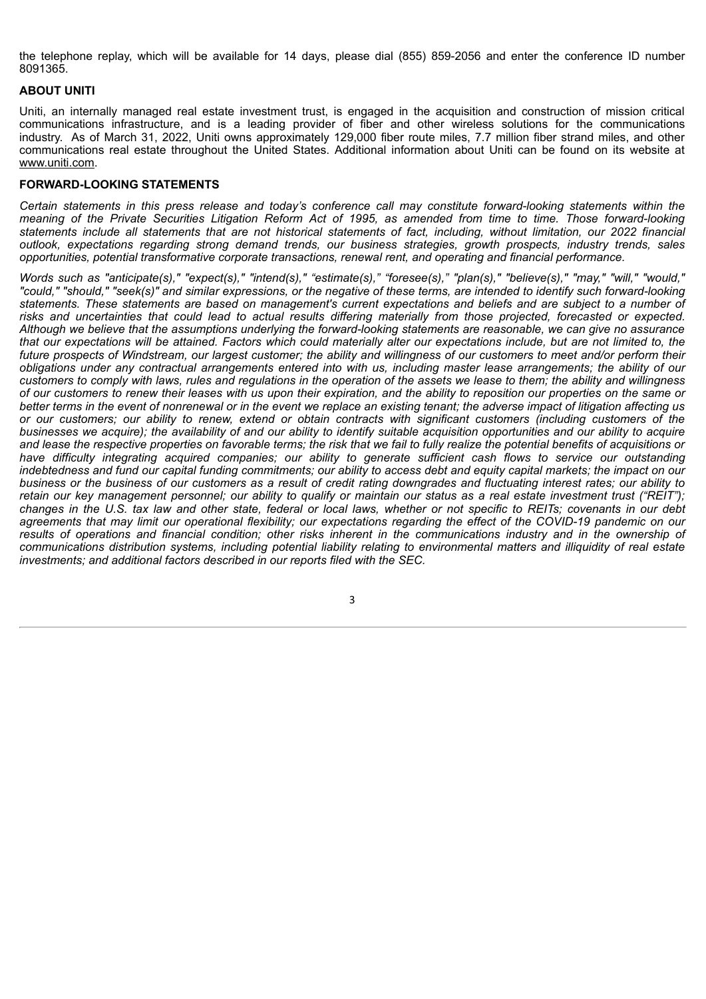the telephone replay, which will be available for 14 days, please dial (855) 859-2056 and enter the conference ID number 8091365.

# **ABOUT UNITI**

Uniti, an internally managed real estate investment trust, is engaged in the acquisition and construction of mission critical communications infrastructure, and is a leading provider of fiber and other wireless solutions for the communications industry. As of March 31, 2022, Uniti owns approximately 129,000 fiber route miles, 7.7 million fiber strand miles, and other communications real estate throughout the United States. Additional information about Uniti can be found on its website at www.uniti.com.

### **FORWARD-LOOKING STATEMENTS**

Certain statements in this press release and today's conference call may constitute forward-looking statements within the meaning of the Private Securities Litigation Reform Act of 1995, as amended from time to time. Those forward-looking statements include all statements that are not historical statements of fact, including, without limitation, our 2022 financial *outlook, expectations regarding strong demand trends, our business strategies, growth prospects, industry trends, sales opportunities, potential transformative corporate transactions, renewal rent, and operating and financial performance.*

Words such as "anticipate(s)," "expect(s)," "intend(s)," "estimate(s)," "foresee(s)," "plan(s)," "believe(s)," "may," "will," "would," "could," "should," "seek(s)" and similar expressions, or the negative of these terms, are intended to identify such forward-looking statements. These statements are based on management's current expectations and beliefs and are subject to a number of risks and uncertainties that could lead to actual results differing materially from those projected, forecasted or expected. Although we believe that the assumptions underlying the forward-looking statements are reasonable, we can give no assurance that our expectations will be attained. Factors which could materially alter our expectations include, but are not limited to, the future prospects of Windstream, our largest customer; the ability and willingness of our customers to meet and/or perform their obligations under any contractual arrangements entered into with us, including master lease arrangements; the ability of our customers to comply with laws, rules and regulations in the operation of the assets we lease to them; the ability and willingness of our customers to renew their leases with us upon their expiration, and the ability to reposition our properties on the same or better terms in the event of nonrenewal or in the event we replace an existing tenant; the adverse impact of litigation affecting us or our customers; our ability to renew, extend or obtain contracts with significant customers (including customers of the businesses we acquire); the availability of and our ability to identify suitable acquisition opportunities and our ability to acquire and lease the respective properties on favorable terms; the risk that we fail to fully realize the potential benefits of acquisitions or have difficulty integrating acquired companies; our ability to generate sufficient cash flows to service our outstanding indebtedness and fund our capital funding commitments; our ability to access debt and equity capital markets; the impact on our business or the business of our customers as a result of credit rating downgrades and fluctuating interest rates; our ability to retain our key management personnel; our ability to qualify or maintain our status as a real estate investment trust ("REIT"); changes in the U.S. tax law and other state, federal or local laws, whether or not specific to REITs; covenants in our debt agreements that may limit our operational flexibility; our expectations regarding the effect of the COVID-19 pandemic on our results of operations and financial condition; other risks inherent in the communications industry and in the ownership of communications distribution systems, including potential liability relating to environmental matters and illiquidity of real estate *investments; and additional factors described in our reports filed with the SEC.*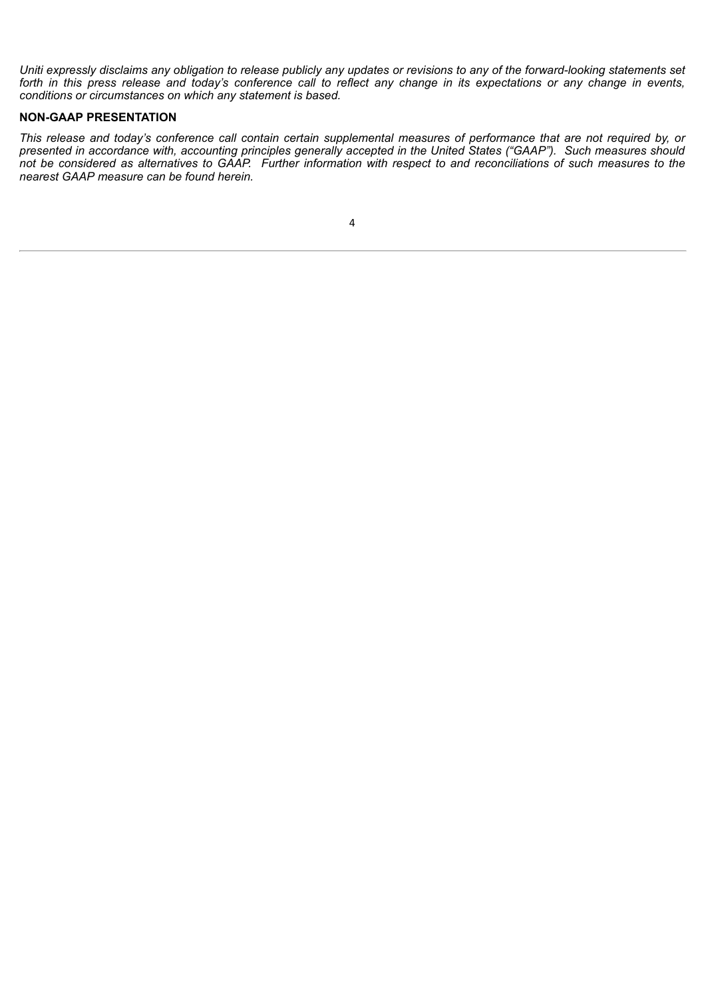Uniti expressly disclaims any obligation to release publicly any updates or revisions to any of the forward-looking statements set forth in this press release and today's conference call to reflect any change in its expectations or any change in events, *conditions or circumstances on which any statement is based.*

# **NON-GAAP PRESENTATION**

This release and today's conference call contain certain supplemental measures of performance that are not required by, or presented in accordance with, accounting principles generally accepted in the United States ("GAAP"). Such measures should not be considered as alternatives to GAAP. Further information with respect to and reconciliations of such measures to the *nearest GAAP measure can be found herein.*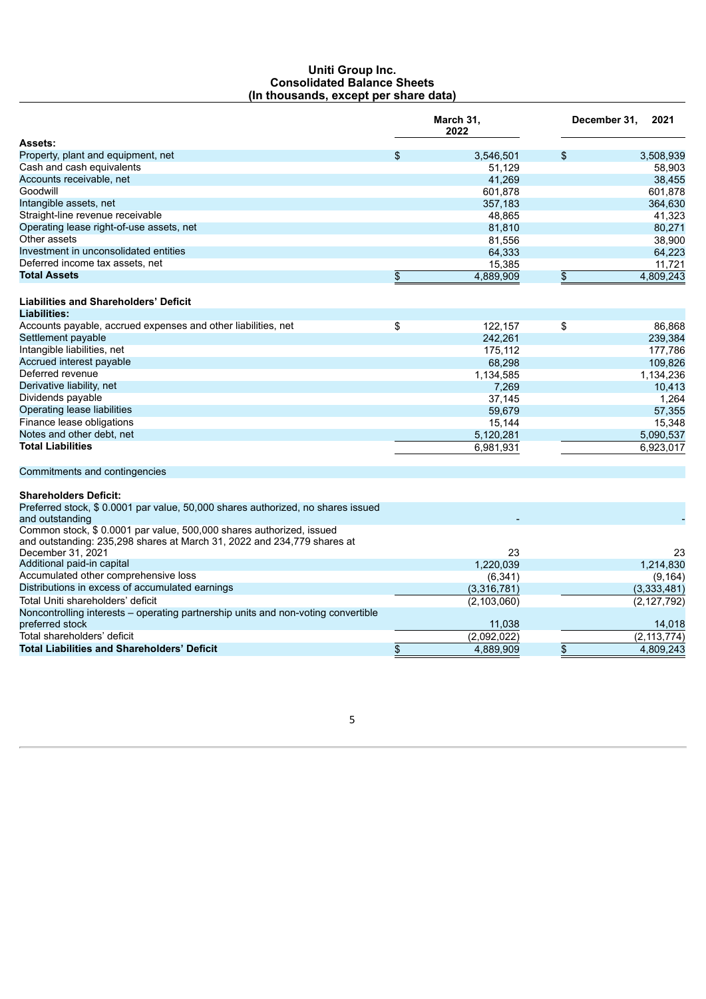### **Uniti Group Inc. Consolidated Balance Sheets (In thousands, except per share data)**

|                                                                                                                                                 | March 31,<br>2022 | December 31,<br>2021 |
|-------------------------------------------------------------------------------------------------------------------------------------------------|-------------------|----------------------|
| Assets:                                                                                                                                         |                   |                      |
| Property, plant and equipment, net                                                                                                              | \$<br>3,546,501   | \$<br>3,508,939      |
| Cash and cash equivalents                                                                                                                       | 51,129            | 58,903               |
| Accounts receivable, net                                                                                                                        | 41,269            | 38,455               |
| Goodwill                                                                                                                                        | 601,878           | 601,878              |
| Intangible assets, net                                                                                                                          | 357,183           | 364,630              |
| Straight-line revenue receivable                                                                                                                | 48,865            | 41,323               |
| Operating lease right-of-use assets, net                                                                                                        | 81,810            | 80,271               |
| Other assets                                                                                                                                    | 81,556            | 38,900               |
| Investment in unconsolidated entities                                                                                                           | 64,333            | 64,223               |
| Deferred income tax assets, net                                                                                                                 | 15,385            | 11,721               |
| <b>Total Assets</b>                                                                                                                             | \$<br>4,889,909   | \$<br>4,809,243      |
| <b>Liabilities and Shareholders' Deficit</b>                                                                                                    |                   |                      |
| <b>Liabilities:</b>                                                                                                                             |                   |                      |
| Accounts payable, accrued expenses and other liabilities, net                                                                                   | \$<br>122,157     | \$<br>86,868         |
| Settlement payable                                                                                                                              | 242,261           | 239,384              |
| Intangible liabilities, net                                                                                                                     | 175,112           | 177,786              |
| Accrued interest payable                                                                                                                        | 68,298            | 109,826              |
| Deferred revenue                                                                                                                                | 1,134,585         | 1,134,236            |
| Derivative liability, net                                                                                                                       | 7,269             | 10,413               |
| Dividends payable                                                                                                                               | 37,145            | 1,264                |
| Operating lease liabilities                                                                                                                     | 59,679            | 57,355               |
| Finance lease obligations                                                                                                                       | 15,144            | 15,348               |
| Notes and other debt, net                                                                                                                       | 5,120,281         | 5,090,537            |
| <b>Total Liabilities</b>                                                                                                                        | 6,981,931         | 6,923,017            |
| Commitments and contingencies                                                                                                                   |                   |                      |
| <b>Shareholders Deficit:</b>                                                                                                                    |                   |                      |
| Preferred stock, \$ 0.0001 par value, 50,000 shares authorized, no shares issued<br>and outstanding                                             |                   |                      |
| Common stock, \$ 0.0001 par value, 500,000 shares authorized, issued<br>and outstanding: 235,298 shares at March 31, 2022 and 234,779 shares at |                   |                      |
| December 31, 2021                                                                                                                               | 23                | 23                   |
| Additional paid-in capital                                                                                                                      | 1,220,039         | 1,214,830            |
| Accumulated other comprehensive loss                                                                                                            | (6, 341)          | (9, 164)             |
| Distributions in excess of accumulated earnings                                                                                                 | (3,316,781)       | (3,333,481)          |
| Total Uniti shareholders' deficit                                                                                                               | (2, 103, 060)     | (2, 127, 792)        |
| Noncontrolling interests - operating partnership units and non-voting convertible                                                               |                   |                      |
| preferred stock                                                                                                                                 | 11,038            | 14,018               |
| Total shareholders' deficit                                                                                                                     | (2,092,022)       | (2, 113, 774)        |
| <b>Total Liabilities and Shareholders' Deficit</b>                                                                                              | \$<br>4,889,909   | \$<br>4.809.243      |

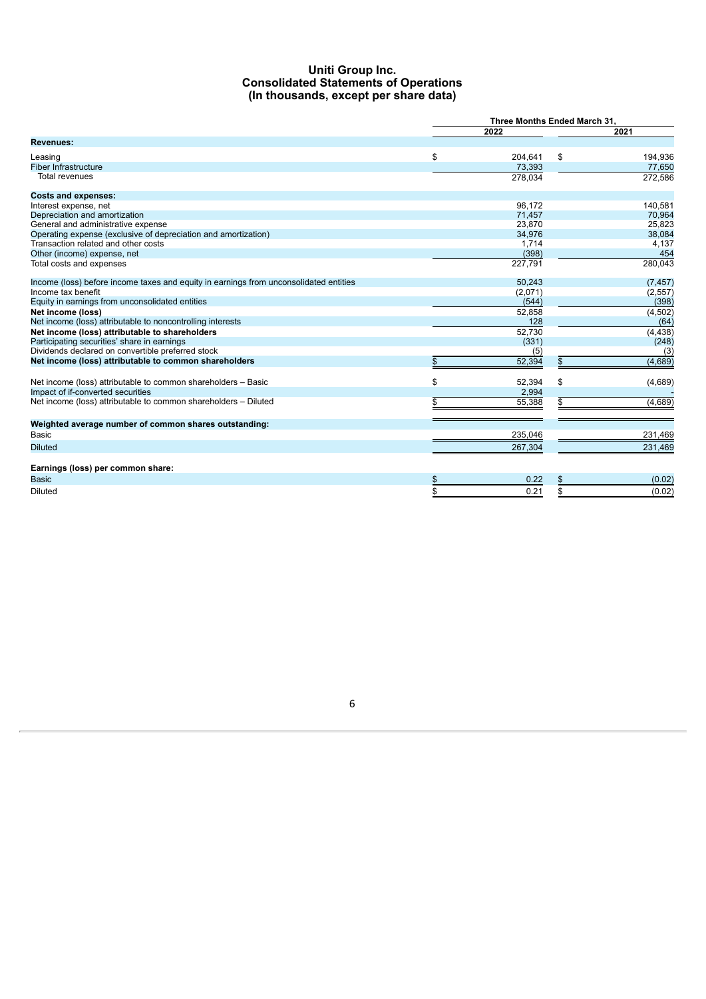### **Uniti Group Inc. Consolidated Statements of Operations (In thousands, except per share data)**

|                                                                                       | Three Months Ended March 31, |         |    |          |
|---------------------------------------------------------------------------------------|------------------------------|---------|----|----------|
|                                                                                       |                              | 2022    |    | 2021     |
| Revenues:                                                                             |                              |         |    |          |
| Leasing                                                                               | \$                           | 204.641 | \$ | 194,936  |
| <b>Fiber Infrastructure</b>                                                           |                              | 73,393  |    | 77,650   |
| <b>Total revenues</b>                                                                 |                              | 278,034 |    | 272,586  |
| <b>Costs and expenses:</b>                                                            |                              |         |    |          |
| Interest expense, net                                                                 |                              | 96.172  |    | 140,581  |
| Depreciation and amortization                                                         |                              | 71,457  |    | 70,964   |
| General and administrative expense                                                    |                              | 23,870  |    | 25,823   |
| Operating expense (exclusive of depreciation and amortization)                        |                              | 34,976  |    | 38,084   |
| Transaction related and other costs                                                   |                              | 1,714   |    | 4,137    |
| Other (income) expense, net                                                           |                              | (398)   |    | 454      |
| Total costs and expenses                                                              |                              | 227,791 |    | 280,043  |
| Income (loss) before income taxes and equity in earnings from unconsolidated entities |                              | 50.243  |    | (7, 457) |
| Income tax benefit                                                                    |                              | (2,071) |    | (2, 557) |
| Equity in earnings from unconsolidated entities                                       |                              | (544)   |    | (398)    |
| Net income (loss)                                                                     |                              | 52,858  |    | (4, 502) |
| Net income (loss) attributable to noncontrolling interests                            |                              | 128     |    | (64)     |
| Net income (loss) attributable to shareholders                                        |                              | 52.730  |    | (4, 438) |
| Participating securities' share in earnings                                           |                              | (331)   |    | (248)    |
| Dividends declared on convertible preferred stock                                     |                              | (5)     |    | (3)      |
| Net income (loss) attributable to common shareholders                                 |                              | 52,394  | \$ | (4,689)  |
| Net income (loss) attributable to common shareholders - Basic                         | \$                           | 52.394  | \$ | (4,689)  |
| Impact of if-converted securities                                                     |                              | 2,994   |    |          |
| Net income (loss) attributable to common shareholders - Diluted                       |                              | 55,388  |    | (4,689)  |
| Weighted average number of common shares outstanding:                                 |                              |         |    |          |
| <b>Basic</b>                                                                          |                              | 235,046 |    | 231,469  |
|                                                                                       |                              |         |    |          |
| <b>Diluted</b>                                                                        |                              | 267,304 |    | 231,469  |
| Earnings (loss) per common share:                                                     |                              |         |    |          |
| <b>Basic</b>                                                                          |                              | 0.22    | \$ | (0.02)   |
| <b>Diluted</b>                                                                        |                              | 0.21    |    | (0.02)   |
|                                                                                       |                              |         |    |          |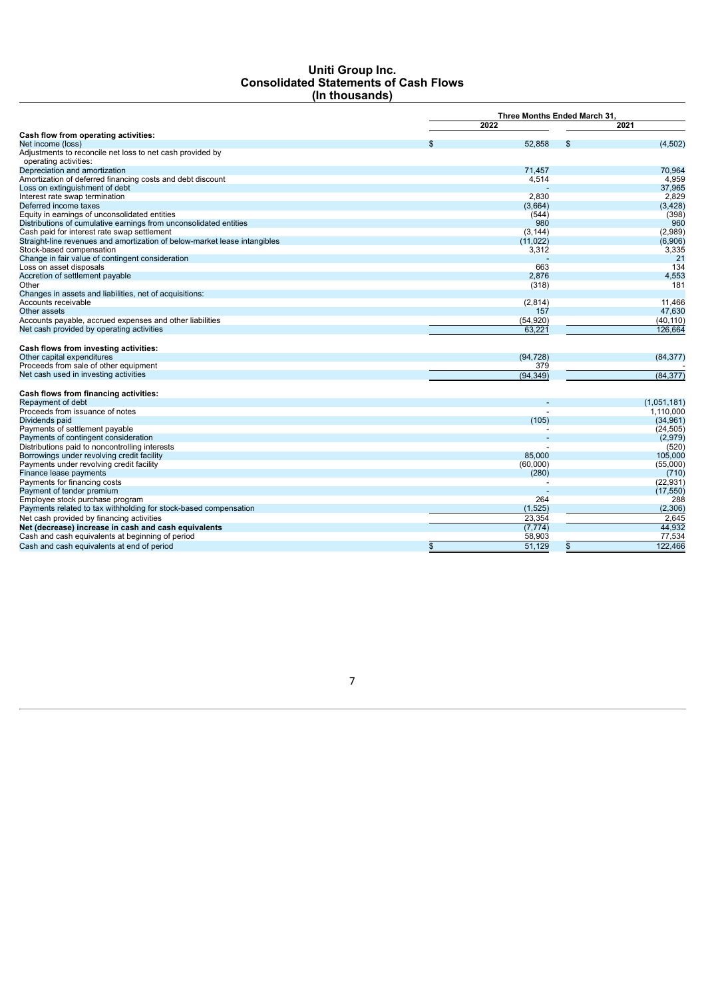#### **Uniti Group Inc. Consolidated Statements of Cash Flows (In thousands)**

|                                                                           | Three Months Ended March 31, |    |             |  |
|---------------------------------------------------------------------------|------------------------------|----|-------------|--|
|                                                                           | 2022                         |    | 2021        |  |
| Cash flow from operating activities:                                      |                              |    |             |  |
| Net income (loss)                                                         | \$<br>52.858                 | \$ | (4, 502)    |  |
| Adjustments to reconcile net loss to net cash provided by                 |                              |    |             |  |
| operating activities:                                                     |                              |    |             |  |
| Depreciation and amortization                                             | 71,457                       |    | 70,964      |  |
| Amortization of deferred financing costs and debt discount                | 4,514                        |    | 4,959       |  |
| Loss on extinguishment of debt                                            |                              |    | 37,965      |  |
| Interest rate swap termination                                            | 2,830                        |    | 2,829       |  |
| Deferred income taxes                                                     | (3,664)                      |    | (3, 428)    |  |
| Equity in earnings of unconsolidated entities                             | (544)                        |    | (398)       |  |
| Distributions of cumulative earnings from unconsolidated entities         | 980                          |    | 960         |  |
| Cash paid for interest rate swap settlement                               | (3, 144)                     |    | (2,989)     |  |
| Straight-line revenues and amortization of below-market lease intangibles | (11, 022)                    |    | (6,906)     |  |
| Stock-based compensation                                                  | 3,312                        |    | 3,335       |  |
| Change in fair value of contingent consideration                          |                              |    | 21          |  |
| Loss on asset disposals                                                   | 663                          |    | 134         |  |
| Accretion of settlement payable                                           | 2,876                        |    | 4,553       |  |
| Other                                                                     | (318)                        |    | 181         |  |
| Changes in assets and liabilities, net of acquisitions:                   |                              |    |             |  |
| Accounts receivable                                                       | (2,814)                      |    | 11,466      |  |
| Other assets                                                              | 157                          |    | 47,630      |  |
| Accounts payable, accrued expenses and other liabilities                  | (54, 920)                    |    | (40, 110)   |  |
| Net cash provided by operating activities                                 | 63,221                       |    | 126,664     |  |
|                                                                           |                              |    |             |  |
| Cash flows from investing activities:                                     |                              |    |             |  |
| Other capital expenditures                                                | (94, 728)                    |    | (84, 377)   |  |
| Proceeds from sale of other equipment                                     | 379                          |    |             |  |
|                                                                           |                              |    |             |  |
| Net cash used in investing activities                                     | (94, 349)                    |    | (84, 377)   |  |
| Cash flows from financing activities:                                     |                              |    |             |  |
| Repayment of debt                                                         |                              |    | (1,051,181) |  |
| Proceeds from issuance of notes                                           |                              |    | 1,110,000   |  |
| Dividends paid                                                            | (105)                        |    | (34, 961)   |  |
| Payments of settlement payable                                            |                              |    | (24, 505)   |  |
| Payments of contingent consideration                                      |                              |    | (2,979)     |  |
| Distributions paid to noncontrolling interests                            |                              |    | (520)       |  |
|                                                                           |                              |    |             |  |
| Borrowings under revolving credit facility                                | 85,000                       |    | 105,000     |  |
| Payments under revolving credit facility                                  | (60,000)                     |    | (55,000)    |  |
| Finance lease payments                                                    | (280)                        |    | (710)       |  |
| Payments for financing costs                                              |                              |    | (22, 931)   |  |
| Payment of tender premium                                                 |                              |    | (17, 550)   |  |
| Employee stock purchase program                                           | 264                          |    | 288         |  |
| Payments related to tax withholding for stock-based compensation          | (1,525)                      |    | (2,306)     |  |
| Net cash provided by financing activities                                 | 23,354                       |    | 2,645       |  |
| Net (decrease) increase in cash and cash equivalents                      | (7, 774)                     |    | 44,932      |  |
| Cash and cash equivalents at beginning of period                          | 58,903                       |    | 77,534      |  |
| Cash and cash equivalents at end of period                                | \$<br>51.129                 | \$ | 122.466     |  |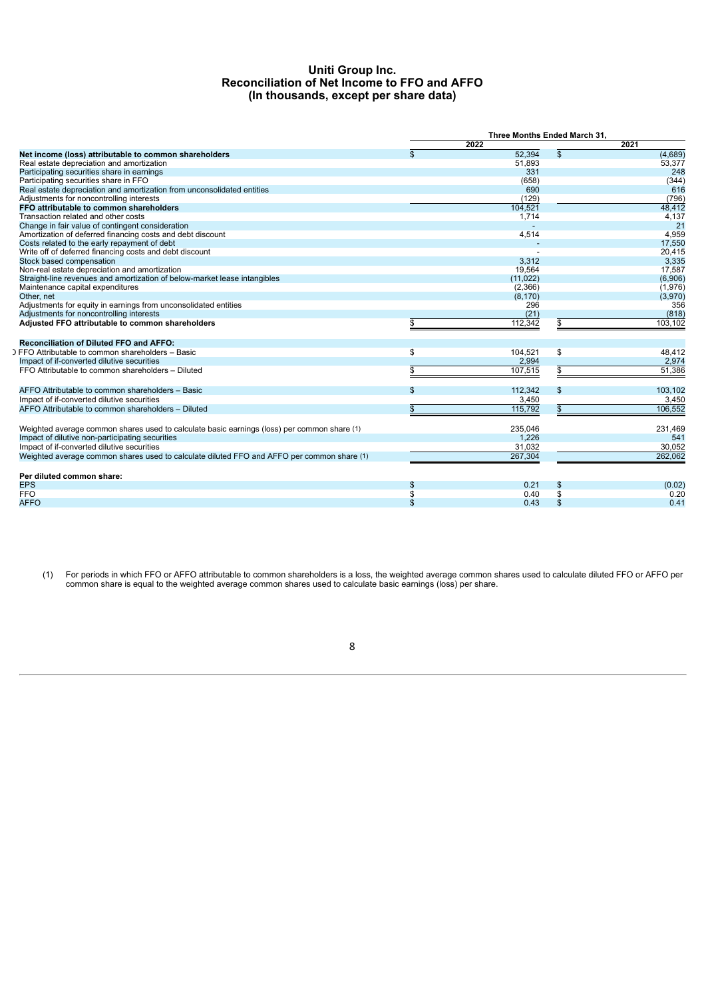#### **Uniti Group Inc. Reconciliation of Net Income to FFO and AFFO (In thousands, except per share data)**

|                                                                                             | Three Months Ended March 31, |           |                |         |
|---------------------------------------------------------------------------------------------|------------------------------|-----------|----------------|---------|
|                                                                                             |                              | 2022      |                | 2021    |
| Net income (loss) attributable to common shareholders                                       | \$                           | 52.394    | $\mathfrak{S}$ | (4,689) |
| Real estate depreciation and amortization                                                   |                              | 51,893    |                | 53,377  |
| Participating securities share in earnings                                                  |                              | 331       |                | 248     |
| Participating securities share in FFO                                                       |                              | (658)     |                | (344)   |
| Real estate depreciation and amortization from unconsolidated entities                      |                              | 690       |                | 616     |
| Adjustments for noncontrolling interests                                                    |                              | (129)     |                | (796)   |
| FFO attributable to common shareholders                                                     |                              | 104.521   |                | 48,412  |
| Transaction related and other costs                                                         |                              | 1,714     |                | 4,137   |
| Change in fair value of contingent consideration                                            |                              |           |                | 21      |
| Amortization of deferred financing costs and debt discount                                  |                              | 4,514     |                | 4,959   |
| Costs related to the early repayment of debt                                                |                              |           |                | 17,550  |
| Write off of deferred financing costs and debt discount                                     |                              |           |                | 20,415  |
| Stock based compensation                                                                    |                              | 3,312     |                | 3,335   |
| Non-real estate depreciation and amortization                                               |                              | 19,564    |                | 17,587  |
| Straight-line revenues and amortization of below-market lease intangibles                   |                              | (11, 022) |                | (6,906) |
| Maintenance capital expenditures                                                            |                              | (2,366)   |                | (1,976) |
| Other, net                                                                                  |                              | (8, 170)  |                | (3,970) |
| Adjustments for equity in earnings from unconsolidated entities                             |                              | 296       |                | 356     |
| Adjustments for noncontrolling interests                                                    |                              | (21)      |                | (818)   |
| Adjusted FFO attributable to common shareholders                                            | \$                           | 112,342   |                | 103,102 |
| <b>Reconciliation of Diluted FFO and AFFO:</b>                                              |                              |           |                |         |
| ) FFO Attributable to common shareholders - Basic                                           | \$                           | 104,521   | \$             | 48,412  |
| Impact of if-converted dilutive securities                                                  |                              | 2,994     |                | 2,974   |
| FFO Attributable to common shareholders - Diluted                                           |                              | 107,515   |                | 51,386  |
|                                                                                             |                              |           | \$             |         |
| AFFO Attributable to common shareholders - Basic                                            |                              | 112.342   |                | 103.102 |
| Impact of if-converted dilutive securities                                                  |                              | 3,450     |                | 3,450   |
| AFFO Attributable to common shareholders - Diluted                                          |                              | 115,792   | \$             | 106,552 |
| Weighted average common shares used to calculate basic earnings (loss) per common share (1) |                              | 235.046   |                | 231,469 |
| Impact of dilutive non-participating securities                                             |                              | 1,226     |                | 541     |
| Impact of if-converted dilutive securities                                                  |                              | 31,032    |                | 30,052  |
| Weighted average common shares used to calculate diluted FFO and AFFO per common share (1)  |                              | 267,304   |                | 262,062 |
| Per diluted common share:                                                                   |                              |           |                |         |
| <b>EPS</b>                                                                                  | \$                           | 0.21      | \$             | (0.02)  |
| <b>FFO</b>                                                                                  | \$                           | 0.40      | \$             | 0.20    |
| <b>AFFO</b>                                                                                 | \$                           | 0.43      | \$             | 0.41    |
|                                                                                             |                              |           |                |         |

(1) For periods in which FFO or AFFO attributable to common shareholders is a loss, the weighted average common shares used to calculate diluted FFO or AFFO per common share is equal to the weighted average common shares used to calculate basic earnings (loss) per share.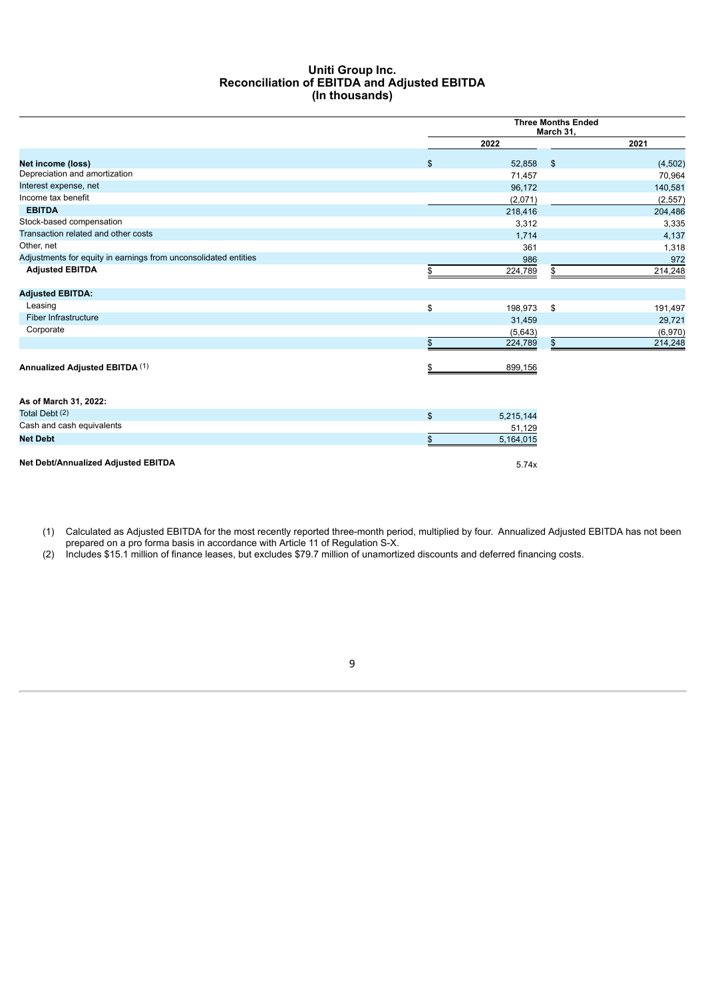#### **Uniti Group Inc. Reconciliation of EBITDA and Adjusted EBITDA (In thousands)**

|                                                                 |                | <b>Three Months Ended</b><br>March 31, |                |          |
|-----------------------------------------------------------------|----------------|----------------------------------------|----------------|----------|
|                                                                 |                | 2022                                   |                | 2021     |
| Net income (loss)                                               | \$             | 52,858                                 | $\mathfrak{s}$ | (4, 502) |
| Depreciation and amortization                                   |                | 71,457                                 |                | 70,964   |
| Interest expense, net                                           |                | 96,172                                 |                | 140,581  |
| Income tax benefit                                              |                | (2,071)                                |                | (2, 557) |
| <b>EBITDA</b>                                                   |                | 218,416                                |                | 204,486  |
| Stock-based compensation                                        |                | 3,312                                  |                | 3,335    |
| Transaction related and other costs                             |                | 1,714                                  |                | 4,137    |
| Other, net                                                      |                | 361                                    |                | 1,318    |
| Adjustments for equity in earnings from unconsolidated entities |                | 986                                    |                | 972      |
| <b>Adjusted EBITDA</b>                                          | \$             | 224,789                                | \$.            | 214,248  |
| <b>Adjusted EBITDA:</b>                                         |                |                                        |                |          |
| Leasing                                                         | \$             | 198,973                                | \$             | 191,497  |
| <b>Fiber Infrastructure</b>                                     |                | 31,459                                 |                | 29,721   |
| Corporate                                                       |                | (5,643)                                |                | (6,970)  |
|                                                                 | \$             | 224,789                                | \$.            | 214,248  |
| Annualized Adjusted EBITDA (1)                                  |                | 899,156                                |                |          |
| As of March 31, 2022:                                           |                |                                        |                |          |
| Total Debt (2)                                                  | $\mathfrak{S}$ | 5,215,144                              |                |          |
| Cash and cash equivalents                                       |                | 51,129                                 |                |          |
| <b>Net Debt</b>                                                 | \$             | 5,164,015                              |                |          |
| Net Debt/Annualized Adjusted EBITDA                             |                | 5.74x                                  |                |          |

(1) Calculated as Adjusted EBITDA for the most recently reported three-month period, multiplied by four. Annualized Adjusted EBITDA has not been prepared on a pro forma basis in accordance with Article 11 of Regulation S-X.

(2) Includes \$15.1 million of finance leases, but excludes \$79.7 million of unamortized discounts and deferred financing costs.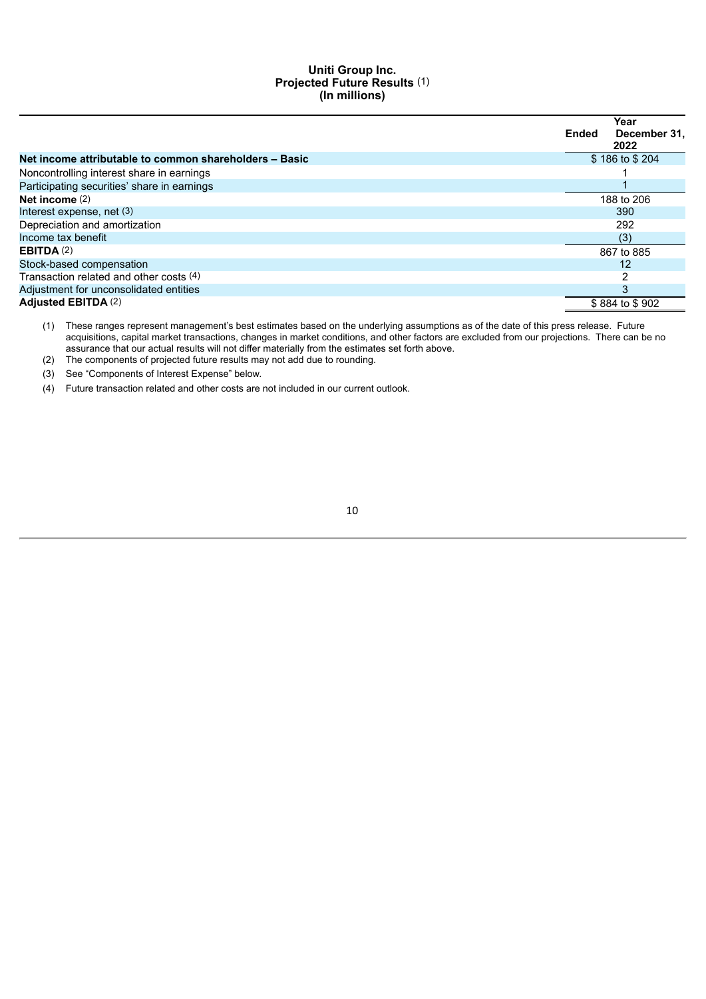### **Uniti Group Inc. Projected Future Results** (1) **(In millions)**

|                                                        | Year<br>December 31,<br><b>Ended</b><br>2022 |
|--------------------------------------------------------|----------------------------------------------|
| Net income attributable to common shareholders - Basic | \$186 to \$204                               |
| Noncontrolling interest share in earnings              |                                              |
| Participating securities' share in earnings            |                                              |
| Net income $(2)$                                       | 188 to 206                                   |
| Interest expense, net (3)                              | 390                                          |
| Depreciation and amortization                          | 292                                          |
| Income tax benefit                                     | (3)                                          |
| EBITDA $(2)$                                           | 867 to 885                                   |
| Stock-based compensation                               | 12                                           |
| Transaction related and other costs (4)                | 2                                            |
| Adjustment for unconsolidated entities                 | 3                                            |
| <b>Adjusted EBITDA (2)</b>                             | \$884 to \$902                               |

(1) These ranges represent management's best estimates based on the underlying assumptions as of the date of this press release. Future acquisitions, capital market transactions, changes in market conditions, and other factors are excluded from our projections. There can be no assurance that our actual results will not differ materially from the estimates set forth above.

(2) The components of projected future results may not add due to rounding.

(3) See "Components of Interest Expense" below.

(4) Future transaction related and other costs are not included in our current outlook.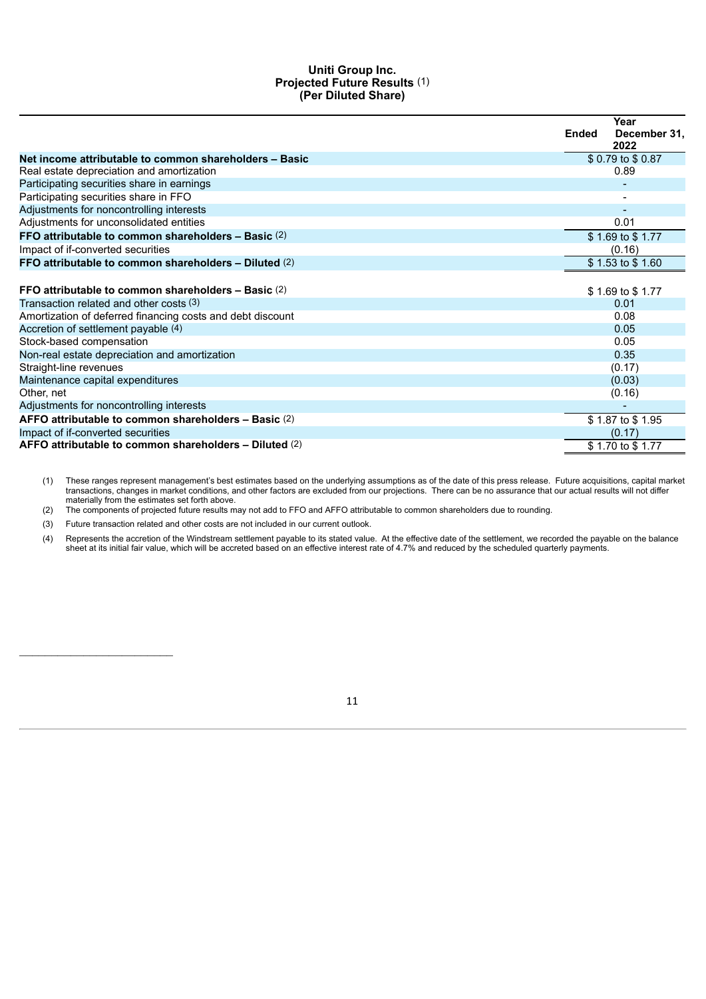#### **Uniti Group Inc. Projected Future Results** (1) **(Per Diluted Share)**

|                                                            | Year                                 |
|------------------------------------------------------------|--------------------------------------|
|                                                            | December 31,<br><b>Ended</b><br>2022 |
| Net income attributable to common shareholders - Basic     | \$0.79 to \$0.87                     |
| Real estate depreciation and amortization                  | 0.89                                 |
| Participating securities share in earnings                 |                                      |
| Participating securities share in FFO                      |                                      |
| Adjustments for noncontrolling interests                   |                                      |
| Adjustments for unconsolidated entities                    | 0.01                                 |
| FFO attributable to common shareholders $-$ Basic $(2)$    | \$1.69 to \$1.77                     |
| Impact of if-converted securities                          | (0.16)                               |
| FFO attributable to common shareholders - Diluted (2)      | \$1.53 to \$1.60                     |
|                                                            |                                      |
| FFO attributable to common shareholders $-$ Basic $(2)$    | \$1.69 to \$1.77                     |
| Transaction related and other costs (3)                    | 0.01                                 |
| Amortization of deferred financing costs and debt discount | 0.08                                 |
| Accretion of settlement payable (4)                        | 0.05                                 |
| Stock-based compensation                                   | 0.05                                 |
| Non-real estate depreciation and amortization              | 0.35                                 |
| Straight-line revenues                                     | (0.17)                               |
| Maintenance capital expenditures                           | (0.03)                               |
| Other, net                                                 | (0.16)                               |
| Adjustments for noncontrolling interests                   |                                      |
| AFFO attributable to common shareholders - Basic (2)       | \$1.87 to \$1.95                     |
| Impact of if-converted securities                          | (0.17)                               |
| AFFO attributable to common shareholders $-$ Diluted $(2)$ | \$1.70 to \$1.77                     |

(1) These ranges represent management's best estimates based on the underlying assumptions as of the date of this press release. Future acquisitions, capital market transactions, changes in market conditions, and other factors are excluded from our projections. There can be no assurance that our actual results will not differ materially from the estimates set forth above.

(2) The components of projected future results may not add to FFO and AFFO attributable to common shareholders due to rounding.

(3) Future transaction related and other costs are not included in our current outlook.

 $\mathcal{L}_\text{max}$  and  $\mathcal{L}_\text{max}$  and  $\mathcal{L}_\text{max}$ 

(4) Represents the accretion of the Windstream settlement payable to its stated value. At the effective date of the settlement, we recorded the payable on the balance sheet at its initial fair value, which will be accreted based on an effective interest rate of 4.7% and reduced by the scheduled quarterly payments.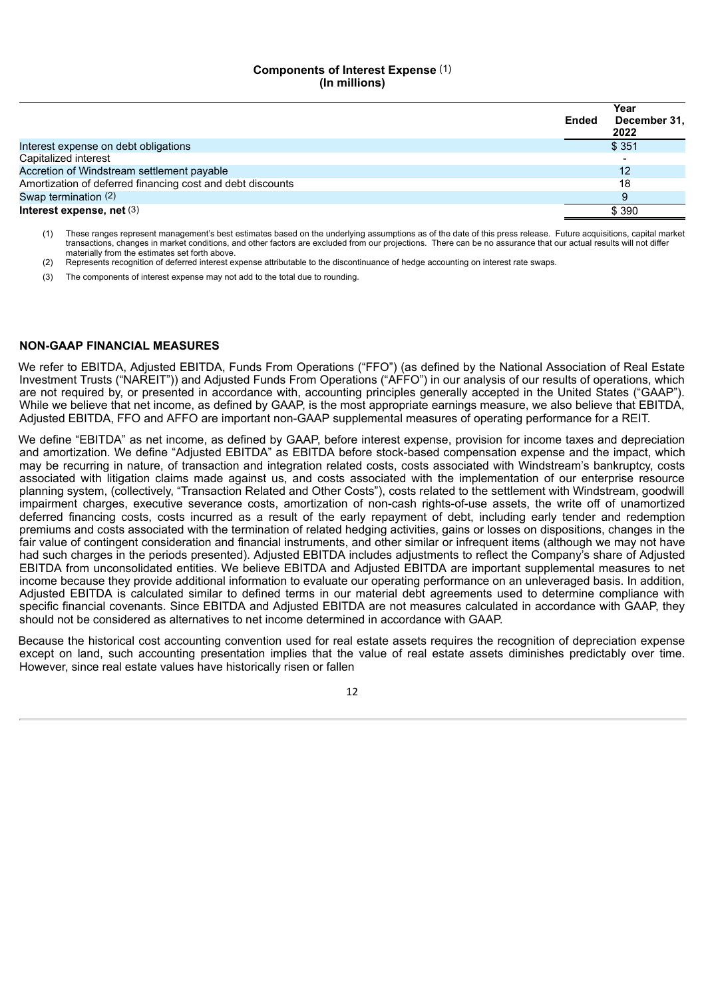#### **Components of Interest Expense** (1) **(In millions)**

|                                                            | Ended | Year<br>December 31,<br>2022 |
|------------------------------------------------------------|-------|------------------------------|
| Interest expense on debt obligations                       |       | \$351                        |
| Capitalized interest                                       |       |                              |
| Accretion of Windstream settlement payable                 |       | 12                           |
| Amortization of deferred financing cost and debt discounts |       | 18                           |
| Swap termination (2)                                       |       | 9                            |
| Interest expense, net (3)                                  |       | \$390                        |

(1) These ranges represent management's best estimates based on the underlying assumptions as of the date of this press release. Future acquisitions, capital market transactions, changes in market conditions, and other factors are excluded from our projections. There can be no assurance that our actual results will not differ materially from the estimates set forth above.

(2) Represents recognition of deferred interest expense attributable to the discontinuance of hedge accounting on interest rate swaps.

(3) The components of interest expense may not add to the total due to rounding.

#### **NON-GAAP FINANCIAL MEASURES**

We refer to EBITDA, Adjusted EBITDA, Funds From Operations ("FFO") (as defined by the National Association of Real Estate Investment Trusts ("NAREIT")) and Adjusted Funds From Operations ("AFFO") in our analysis of our results of operations, which are not required by, or presented in accordance with, accounting principles generally accepted in the United States ("GAAP"). While we believe that net income, as defined by GAAP, is the most appropriate earnings measure, we also believe that EBITDA, Adjusted EBITDA, FFO and AFFO are important non-GAAP supplemental measures of operating performance for a REIT.

We define "EBITDA" as net income, as defined by GAAP, before interest expense, provision for income taxes and depreciation and amortization. We define "Adjusted EBITDA" as EBITDA before stock-based compensation expense and the impact, which may be recurring in nature, of transaction and integration related costs, costs associated with Windstream's bankruptcy, costs associated with litigation claims made against us, and costs associated with the implementation of our enterprise resource planning system, (collectively, "Transaction Related and Other Costs"), costs related to the settlement with Windstream, goodwill impairment charges, executive severance costs, amortization of non-cash rights-of-use assets, the write off of unamortized deferred financing costs, costs incurred as a result of the early repayment of debt, including early tender and redemption premiums and costs associated with the termination of related hedging activities, gains or losses on dispositions, changes in the fair value of contingent consideration and financial instruments, and other similar or infrequent items (although we may not have had such charges in the periods presented). Adjusted EBITDA includes adjustments to reflect the Company's share of Adjusted EBITDA from unconsolidated entities. We believe EBITDA and Adjusted EBITDA are important supplemental measures to net income because they provide additional information to evaluate our operating performance on an unleveraged basis. In addition, Adjusted EBITDA is calculated similar to defined terms in our material debt agreements used to determine compliance with specific financial covenants. Since EBITDA and Adjusted EBITDA are not measures calculated in accordance with GAAP, they should not be considered as alternatives to net income determined in accordance with GAAP.

Because the historical cost accounting convention used for real estate assets requires the recognition of depreciation expense except on land, such accounting presentation implies that the value of real estate assets diminishes predictably over time. However, since real estate values have historically risen or fallen

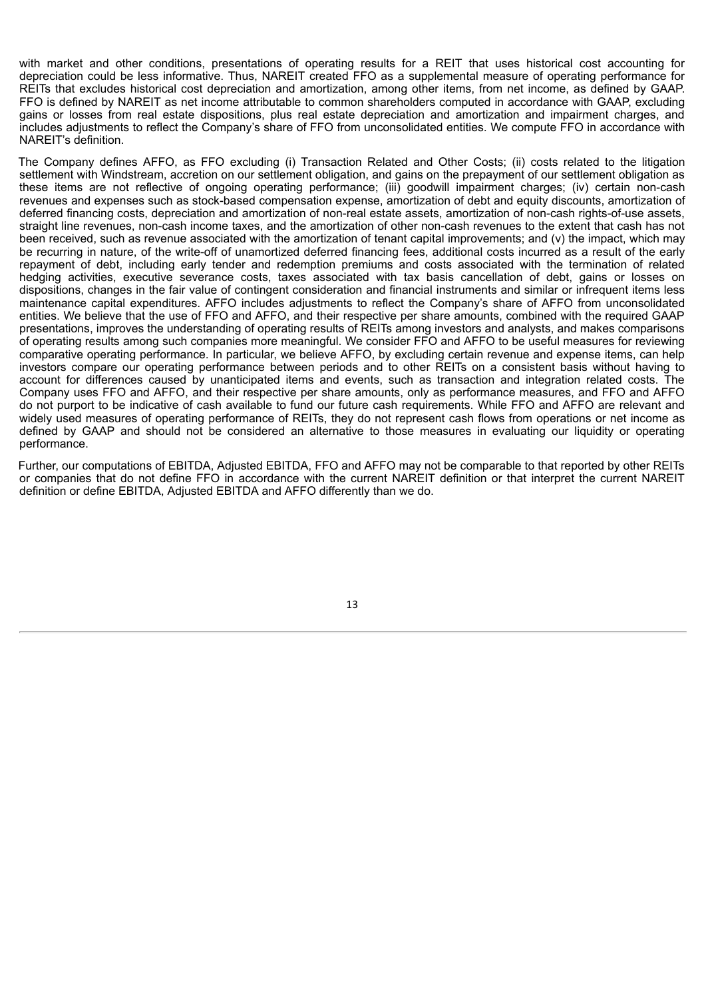with market and other conditions, presentations of operating results for a REIT that uses historical cost accounting for depreciation could be less informative. Thus, NAREIT created FFO as a supplemental measure of operating performance for REITs that excludes historical cost depreciation and amortization, among other items, from net income, as defined by GAAP. FFO is defined by NAREIT as net income attributable to common shareholders computed in accordance with GAAP, excluding gains or losses from real estate dispositions, plus real estate depreciation and amortization and impairment charges, and includes adjustments to reflect the Company's share of FFO from unconsolidated entities. We compute FFO in accordance with NAREIT's definition.

The Company defines AFFO, as FFO excluding (i) Transaction Related and Other Costs; (ii) costs related to the litigation settlement with Windstream, accretion on our settlement obligation, and gains on the prepayment of our settlement obligation as these items are not reflective of ongoing operating performance; (iii) goodwill impairment charges; (iv) certain non-cash revenues and expenses such as stock-based compensation expense, amortization of debt and equity discounts, amortization of deferred financing costs, depreciation and amortization of non-real estate assets, amortization of non-cash rights-of-use assets, straight line revenues, non-cash income taxes, and the amortization of other non-cash revenues to the extent that cash has not been received, such as revenue associated with the amortization of tenant capital improvements; and (v) the impact, which may be recurring in nature, of the write-off of unamortized deferred financing fees, additional costs incurred as a result of the early repayment of debt, including early tender and redemption premiums and costs associated with the termination of related hedging activities, executive severance costs, taxes associated with tax basis cancellation of debt, gains or losses on dispositions, changes in the fair value of contingent consideration and financial instruments and similar or infrequent items less maintenance capital expenditures. AFFO includes adjustments to reflect the Company's share of AFFO from unconsolidated entities. We believe that the use of FFO and AFFO, and their respective per share amounts, combined with the required GAAP presentations, improves the understanding of operating results of REITs among investors and analysts, and makes comparisons of operating results among such companies more meaningful. We consider FFO and AFFO to be useful measures for reviewing comparative operating performance. In particular, we believe AFFO, by excluding certain revenue and expense items, can help investors compare our operating performance between periods and to other REITs on a consistent basis without having to account for differences caused by unanticipated items and events, such as transaction and integration related costs. The Company uses FFO and AFFO, and their respective per share amounts, only as performance measures, and FFO and AFFO do not purport to be indicative of cash available to fund our future cash requirements. While FFO and AFFO are relevant and widely used measures of operating performance of REITs, they do not represent cash flows from operations or net income as defined by GAAP and should not be considered an alternative to those measures in evaluating our liquidity or operating performance.

Further, our computations of EBITDA, Adjusted EBITDA, FFO and AFFO may not be comparable to that reported by other REITs or companies that do not define FFO in accordance with the current NAREIT definition or that interpret the current NAREIT definition or define EBITDA, Adjusted EBITDA and AFFO differently than we do.